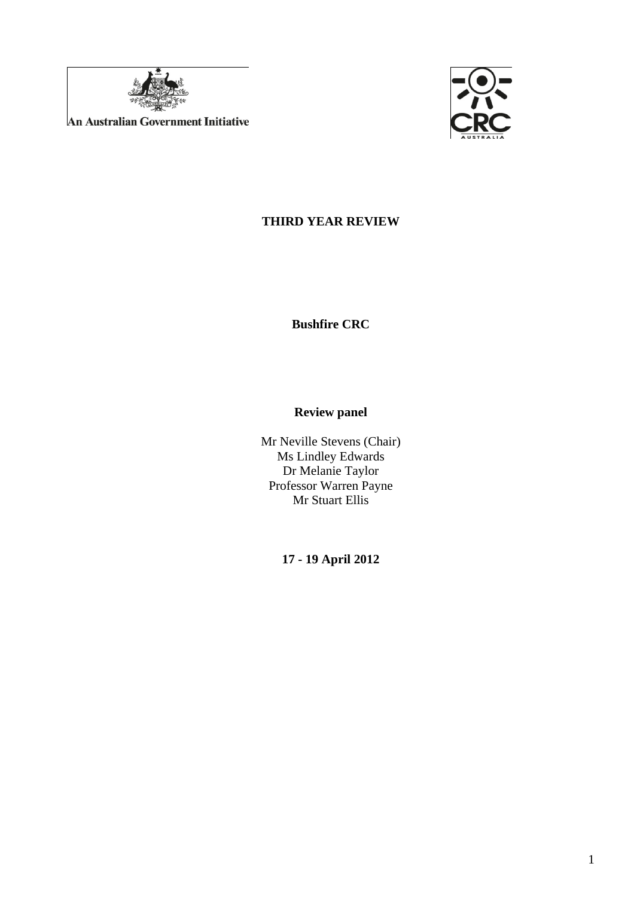

**An Australian Government Initiative** 



# **THIRD YEAR REVIEW**

**Bushfire CRC** 

## **Review panel**

Mr Neville Stevens (Chair) Ms Lindley Edwards Dr Melanie Taylor Professor Warren Payne Mr Stuart Ellis

**17 - 19 April 2012**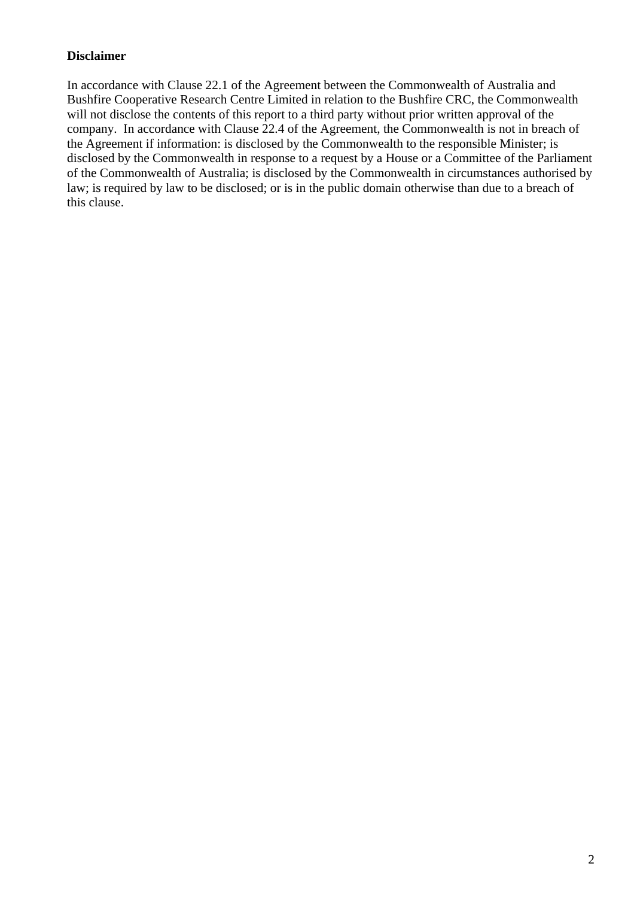#### **Disclaimer**

In accordance with Clause 22.1 of the Agreement between the Commonwealth of Australia and Bushfire Cooperative Research Centre Limited in relation to the Bushfire CRC, the Commonwealth will not disclose the contents of this report to a third party without prior written approval of the company. In accordance with Clause 22.4 of the Agreement, the Commonwealth is not in breach of the Agreement if information: is disclosed by the Commonwealth to the responsible Minister; is disclosed by the Commonwealth in response to a request by a House or a Committee of the Parliament of the Commonwealth of Australia; is disclosed by the Commonwealth in circumstances authorised by law; is required by law to be disclosed; or is in the public domain otherwise than due to a breach of this clause.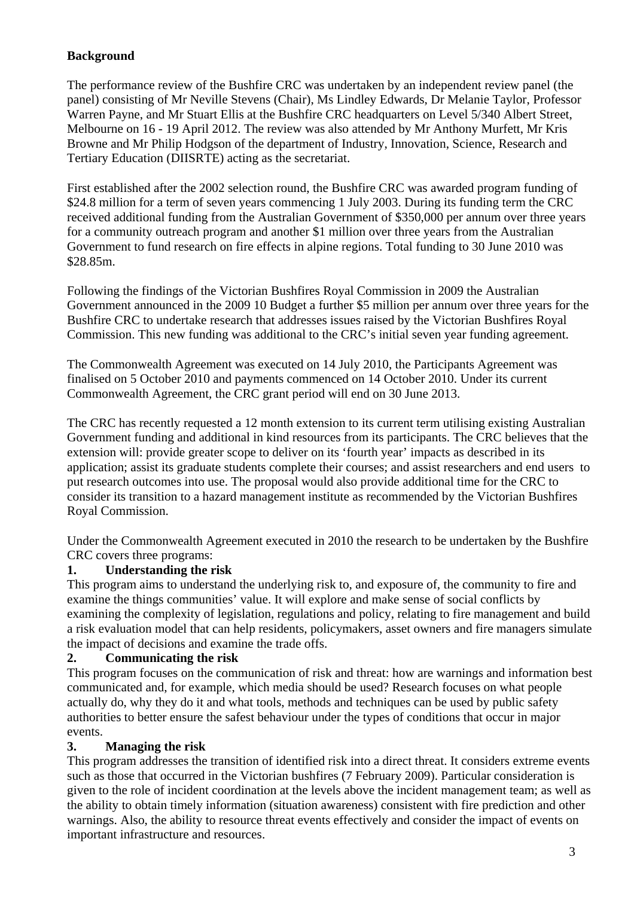## **Background**

The performance review of the Bushfire CRC was undertaken by an independent review panel (the panel) consisting of Mr Neville Stevens (Chair), Ms Lindley Edwards, Dr Melanie Taylor, Professor Warren Payne, and Mr Stuart Ellis at the Bushfire CRC headquarters on Level 5/340 Albert Street, Melbourne on 16 - 19 April 2012. The review was also attended by Mr Anthony Murfett, Mr Kris Browne and Mr Philip Hodgson of the department of Industry, Innovation, Science, Research and Tertiary Education (DIISRTE) acting as the secretariat.

First established after the 2002 selection round, the Bushfire CRC was awarded program funding of \$24.8 million for a term of seven years commencing 1 July 2003. During its funding term the CRC received additional funding from the Australian Government of \$350,000 per annum over three years for a community outreach program and another \$1 million over three years from the Australian Government to fund research on fire effects in alpine regions. Total funding to 30 June 2010 was \$28.85m.

Following the findings of the Victorian Bushfires Royal Commission in 2009 the Australian Government announced in the 2009 10 Budget a further \$5 million per annum over three years for the Bushfire CRC to undertake research that addresses issues raised by the Victorian Bushfires Royal Commission. This new funding was additional to the CRC's initial seven year funding agreement.

The Commonwealth Agreement was executed on 14 July 2010, the Participants Agreement was finalised on 5 October 2010 and payments commenced on 14 October 2010. Under its current Commonwealth Agreement, the CRC grant period will end on 30 June 2013.

The CRC has recently requested a 12 month extension to its current term utilising existing Australian Government funding and additional in kind resources from its participants. The CRC believes that the extension will: provide greater scope to deliver on its 'fourth year' impacts as described in its application; assist its graduate students complete their courses; and assist researchers and end users to put research outcomes into use. The proposal would also provide additional time for the CRC to consider its transition to a hazard management institute as recommended by the Victorian Bushfires Royal Commission.

Under the Commonwealth Agreement executed in 2010 the research to be undertaken by the Bushfire CRC covers three programs:

#### **1. Understanding the risk**

This program aims to understand the underlying risk to, and exposure of, the community to fire and examine the things communities' value. It will explore and make sense of social conflicts by examining the complexity of legislation, regulations and policy, relating to fire management and build a risk evaluation model that can help residents, policymakers, asset owners and fire managers simulate the impact of decisions and examine the trade offs.

#### **2. Communicating the risk**

This program focuses on the communication of risk and threat: how are warnings and information best communicated and, for example, which media should be used? Research focuses on what people actually do, why they do it and what tools, methods and techniques can be used by public safety authorities to better ensure the safest behaviour under the types of conditions that occur in major events.

#### **3. Managing the risk**

This program addresses the transition of identified risk into a direct threat. It considers extreme events such as those that occurred in the Victorian bushfires (7 February 2009). Particular consideration is given to the role of incident coordination at the levels above the incident management team; as well as the ability to obtain timely information (situation awareness) consistent with fire prediction and other warnings. Also, the ability to resource threat events effectively and consider the impact of events on important infrastructure and resources.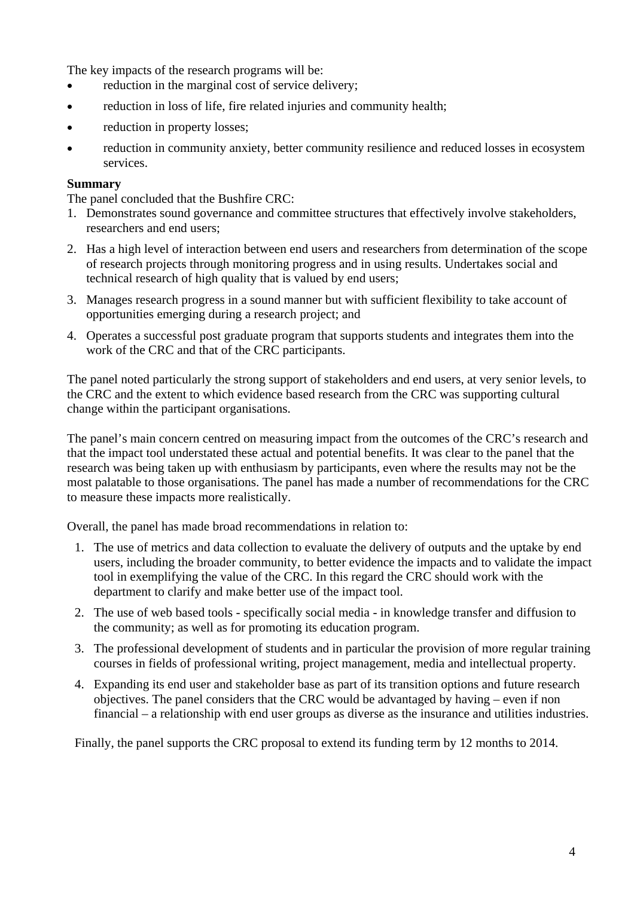The key impacts of the research programs will be:

- reduction in the marginal cost of service delivery;
- reduction in loss of life, fire related injuries and community health;
- reduction in property losses;
- reduction in community anxiety, better community resilience and reduced losses in ecosystem services.

#### **Summary**

The panel concluded that the Bushfire CRC:

- 1. Demonstrates sound governance and committee structures that effectively involve stakeholders, researchers and end users;
- 2. Has a high level of interaction between end users and researchers from determination of the scope of research projects through monitoring progress and in using results. Undertakes social and technical research of high quality that is valued by end users;
- 3. Manages research progress in a sound manner but with sufficient flexibility to take account of opportunities emerging during a research project; and
- 4. Operates a successful post graduate program that supports students and integrates them into the work of the CRC and that of the CRC participants.

The panel noted particularly the strong support of stakeholders and end users, at very senior levels, to the CRC and the extent to which evidence based research from the CRC was supporting cultural change within the participant organisations.

The panel's main concern centred on measuring impact from the outcomes of the CRC's research and that the impact tool understated these actual and potential benefits. It was clear to the panel that the research was being taken up with enthusiasm by participants, even where the results may not be the most palatable to those organisations. The panel has made a number of recommendations for the CRC to measure these impacts more realistically.

Overall, the panel has made broad recommendations in relation to:

- 1. The use of metrics and data collection to evaluate the delivery of outputs and the uptake by end users, including the broader community, to better evidence the impacts and to validate the impact tool in exemplifying the value of the CRC. In this regard the CRC should work with the department to clarify and make better use of the impact tool.
- 2. The use of web based tools specifically social media in knowledge transfer and diffusion to the community; as well as for promoting its education program.
- 3. The professional development of students and in particular the provision of more regular training courses in fields of professional writing, project management, media and intellectual property.
- 4. Expanding its end user and stakeholder base as part of its transition options and future research objectives. The panel considers that the CRC would be advantaged by having – even if non financial – a relationship with end user groups as diverse as the insurance and utilities industries.

Finally, the panel supports the CRC proposal to extend its funding term by 12 months to 2014.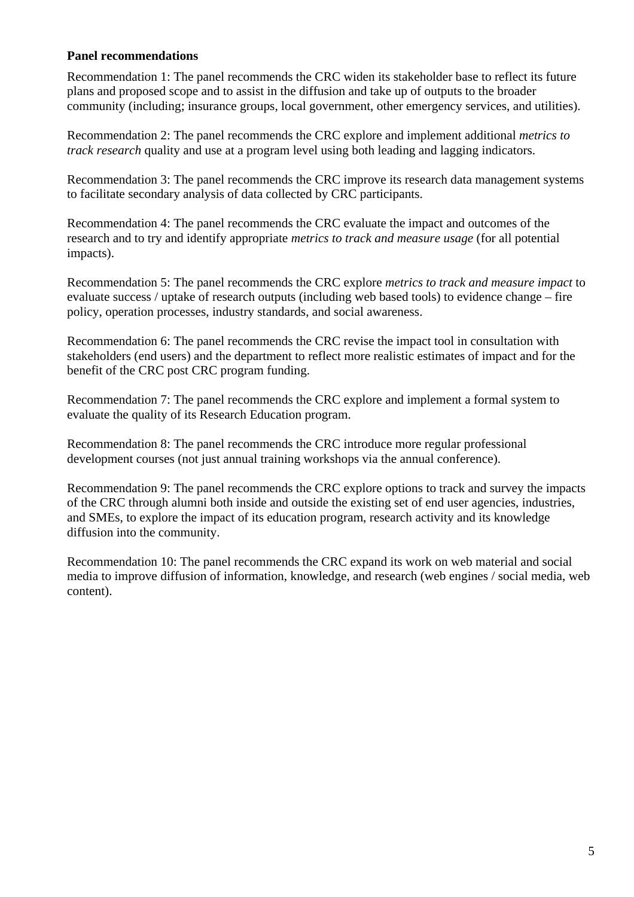#### **Panel recommendations**

Recommendation 1: The panel recommends the CRC widen its stakeholder base to reflect its future plans and proposed scope and to assist in the diffusion and take up of outputs to the broader community (including; insurance groups, local government, other emergency services, and utilities).

Recommendation 2: The panel recommends the CRC explore and implement additional *metrics to track research* quality and use at a program level using both leading and lagging indicators.

Recommendation 3: The panel recommends the CRC improve its research data management systems to facilitate secondary analysis of data collected by CRC participants.

Recommendation 4: The panel recommends the CRC evaluate the impact and outcomes of the research and to try and identify appropriate *metrics to track and measure usage* (for all potential impacts).

Recommendation 5: The panel recommends the CRC explore *metrics to track and measure impact* to evaluate success / uptake of research outputs (including web based tools) to evidence change – fire policy, operation processes, industry standards, and social awareness.

Recommendation 6: The panel recommends the CRC revise the impact tool in consultation with stakeholders (end users) and the department to reflect more realistic estimates of impact and for the benefit of the CRC post CRC program funding.

Recommendation 7: The panel recommends the CRC explore and implement a formal system to evaluate the quality of its Research Education program.

Recommendation 8: The panel recommends the CRC introduce more regular professional development courses (not just annual training workshops via the annual conference).

Recommendation 9: The panel recommends the CRC explore options to track and survey the impacts of the CRC through alumni both inside and outside the existing set of end user agencies, industries, and SMEs, to explore the impact of its education program, research activity and its knowledge diffusion into the community.

Recommendation 10: The panel recommends the CRC expand its work on web material and social media to improve diffusion of information, knowledge, and research (web engines / social media, web content).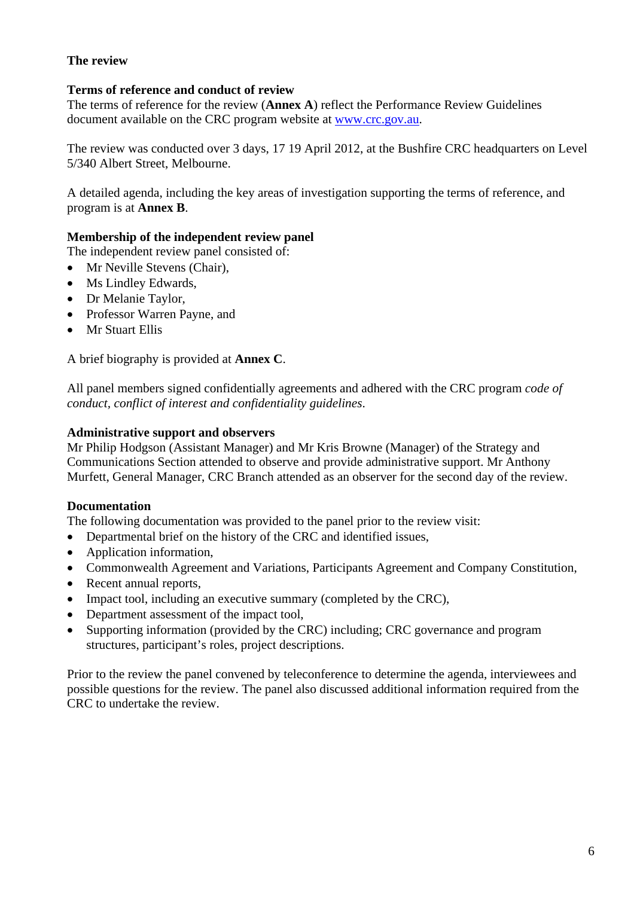## **The review**

## **Terms of reference and conduct of review**

The terms of reference for the review (**Annex A**) reflect the Performance Review Guidelines document available on the CRC program website at [www.crc.gov.au](http://www.crc.gov.au/).

The review was conducted over 3 days, 17 19 April 2012, at the Bushfire CRC headquarters on Level 5/340 Albert Street, Melbourne.

A detailed agenda, including the key areas of investigation supporting the terms of reference, and program is at **Annex B**.

## **Membership of the independent review panel**

The independent review panel consisted of:

- Mr Neville Stevens (Chair),
- Ms Lindley Edwards,
- Dr Melanie Taylor,
- Professor Warren Payne, and
- Mr Stuart Ellis

A brief biography is provided at **Annex C**.

All panel members signed confidentially agreements and adhered with the CRC program *code of conduct, conflict of interest and confidentiality guidelines*.

#### **Administrative support and observers**

Mr Philip Hodgson (Assistant Manager) and Mr Kris Browne (Manager) of the Strategy and Communications Section attended to observe and provide administrative support. Mr Anthony Murfett, General Manager, CRC Branch attended as an observer for the second day of the review.

#### **Documentation**

The following documentation was provided to the panel prior to the review visit:

- Departmental brief on the history of the CRC and identified issues,
- Application information,
- Commonwealth Agreement and Variations, Participants Agreement and Company Constitution,
- Recent annual reports,
- Impact tool, including an executive summary (completed by the CRC),
- Department assessment of the impact tool,
- Supporting information (provided by the CRC) including: CRC governance and program structures, participant's roles, project descriptions.

Prior to the review the panel convened by teleconference to determine the agenda, interviewees and possible questions for the review. The panel also discussed additional information required from the CRC to undertake the review.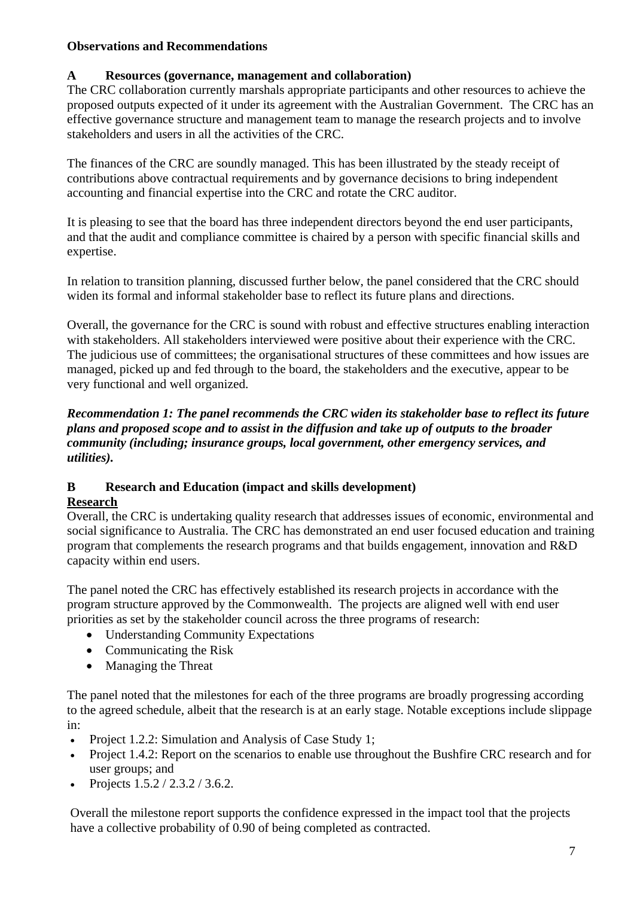## **Observations and Recommendations**

## **A Resources (governance, management and collaboration)**

The CRC collaboration currently marshals appropriate participants and other resources to achieve the proposed outputs expected of it under its agreement with the Australian Government. The CRC has an effective governance structure and management team to manage the research projects and to involve stakeholders and users in all the activities of the CRC.

The finances of the CRC are soundly managed. This has been illustrated by the steady receipt of contributions above contractual requirements and by governance decisions to bring independent accounting and financial expertise into the CRC and rotate the CRC auditor.

It is pleasing to see that the board has three independent directors beyond the end user participants, and that the audit and compliance committee is chaired by a person with specific financial skills and expertise.

In relation to transition planning, discussed further below, the panel considered that the CRC should widen its formal and informal stakeholder base to reflect its future plans and directions.

Overall, the governance for the CRC is sound with robust and effective structures enabling interaction with stakeholders. All stakeholders interviewed were positive about their experience with the CRC. The judicious use of committees; the organisational structures of these committees and how issues are managed, picked up and fed through to the board, the stakeholders and the executive, appear to be very functional and well organized.

#### *Recommendation 1: The panel recommends the CRC widen its stakeholder base to reflect its future plans and proposed scope and to assist in the diffusion and take up of outputs to the broader community (including; insurance groups, local government, other emergency services, and utilities).*

# **B Research and Education (impact and skills development)**

## **Research**

Overall, the CRC is undertaking quality research that addresses issues of economic, environmental and social significance to Australia. The CRC has demonstrated an end user focused education and training program that complements the research programs and that builds engagement, innovation and R&D capacity within end users.

The panel noted the CRC has effectively established its research projects in accordance with the program structure approved by the Commonwealth. The projects are aligned well with end user priorities as set by the stakeholder council across the three programs of research:

- Understanding Community Expectations
- Communicating the Risk
- Managing the Threat

The panel noted that the milestones for each of the three programs are broadly progressing according to the agreed schedule, albeit that the research is at an early stage. Notable exceptions include slippage in:

- Project 1.2.2: Simulation and Analysis of Case Study 1;
- Project 1.4.2: Report on the scenarios to enable use throughout the Bushfire CRC research and for user groups; and
- Projects  $1.5.2 / 2.3.2 / 3.6.2$ .

Overall the milestone report supports the confidence expressed in the impact tool that the projects have a collective probability of 0.90 of being completed as contracted.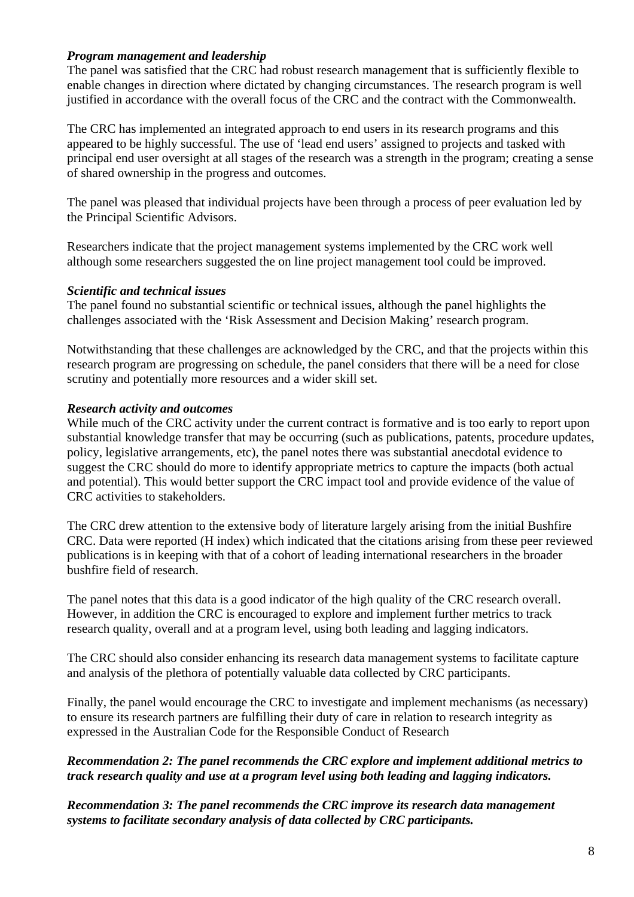#### *Program management and leadership*

The panel was satisfied that the CRC had robust research management that is sufficiently flexible to enable changes in direction where dictated by changing circumstances. The research program is well justified in accordance with the overall focus of the CRC and the contract with the Commonwealth.

The CRC has implemented an integrated approach to end users in its research programs and this appeared to be highly successful. The use of 'lead end users' assigned to projects and tasked with principal end user oversight at all stages of the research was a strength in the program; creating a sense of shared ownership in the progress and outcomes.

The panel was pleased that individual projects have been through a process of peer evaluation led by the Principal Scientific Advisors.

Researchers indicate that the project management systems implemented by the CRC work well although some researchers suggested the on line project management tool could be improved.

#### *Scientific and technical issues*

The panel found no substantial scientific or technical issues, although the panel highlights the challenges associated with the 'Risk Assessment and Decision Making' research program.

Notwithstanding that these challenges are acknowledged by the CRC, and that the projects within this research program are progressing on schedule, the panel considers that there will be a need for close scrutiny and potentially more resources and a wider skill set.

#### *Research activity and outcomes*

While much of the CRC activity under the current contract is formative and is too early to report upon substantial knowledge transfer that may be occurring (such as publications, patents, procedure updates, policy, legislative arrangements, etc), the panel notes there was substantial anecdotal evidence to suggest the CRC should do more to identify appropriate metrics to capture the impacts (both actual and potential). This would better support the CRC impact tool and provide evidence of the value of CRC activities to stakeholders.

The CRC drew attention to the extensive body of literature largely arising from the initial Bushfire CRC. Data were reported (H index) which indicated that the citations arising from these peer reviewed publications is in keeping with that of a cohort of leading international researchers in the broader bushfire field of research.

The panel notes that this data is a good indicator of the high quality of the CRC research overall. However, in addition the CRC is encouraged to explore and implement further metrics to track research quality, overall and at a program level, using both leading and lagging indicators.

The CRC should also consider enhancing its research data management systems to facilitate capture and analysis of the plethora of potentially valuable data collected by CRC participants.

Finally, the panel would encourage the CRC to investigate and implement mechanisms (as necessary) to ensure its research partners are fulfilling their duty of care in relation to research integrity as expressed in the Australian Code for the Responsible Conduct of Research

#### *Recommendation 2: The panel recommends the CRC explore and implement additional metrics to track research quality and use at a program level using both leading and lagging indicators.*

*Recommendation 3: The panel recommends the CRC improve its research data management systems to facilitate secondary analysis of data collected by CRC participants.*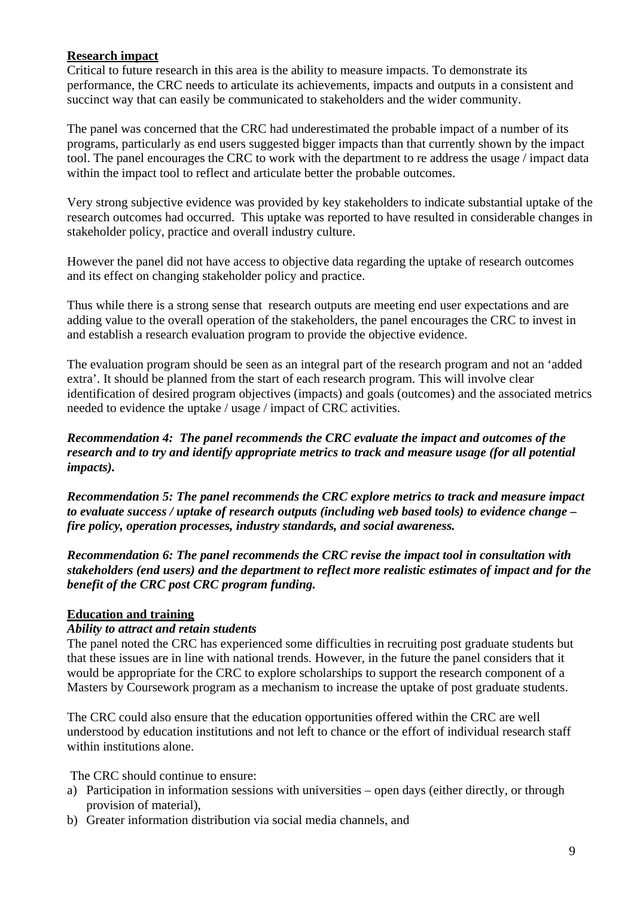#### **Research impact**

Critical to future research in this area is the ability to measure impacts. To demonstrate its performance, the CRC needs to articulate its achievements, impacts and outputs in a consistent and succinct way that can easily be communicated to stakeholders and the wider community.

The panel was concerned that the CRC had underestimated the probable impact of a number of its programs, particularly as end users suggested bigger impacts than that currently shown by the impact tool. The panel encourages the CRC to work with the department to re address the usage / impact data within the impact tool to reflect and articulate better the probable outcomes.

Very strong subjective evidence was provided by key stakeholders to indicate substantial uptake of the research outcomes had occurred. This uptake was reported to have resulted in considerable changes in stakeholder policy, practice and overall industry culture.

However the panel did not have access to objective data regarding the uptake of research outcomes and its effect on changing stakeholder policy and practice.

Thus while there is a strong sense that research outputs are meeting end user expectations and are adding value to the overall operation of the stakeholders, the panel encourages the CRC to invest in and establish a research evaluation program to provide the objective evidence.

The evaluation program should be seen as an integral part of the research program and not an 'added extra'. It should be planned from the start of each research program. This will involve clear identification of desired program objectives (impacts) and goals (outcomes) and the associated metrics needed to evidence the uptake / usage / impact of CRC activities.

*Recommendation 4: The panel recommends the CRC evaluate the impact and outcomes of the research and to try and identify appropriate metrics to track and measure usage (for all potential impacts).* 

*Recommendation 5: The panel recommends the CRC explore metrics to track and measure impact to evaluate success / uptake of research outputs (including web based tools) to evidence change – fire policy, operation processes, industry standards, and social awareness.* 

*Recommendation 6: The panel recommends the CRC revise the impact tool in consultation with stakeholders (end users) and the department to reflect more realistic estimates of impact and for the benefit of the CRC post CRC program funding.* 

## **Education and training**

#### *Ability to attract and retain students*

The panel noted the CRC has experienced some difficulties in recruiting post graduate students but that these issues are in line with national trends. However, in the future the panel considers that it would be appropriate for the CRC to explore scholarships to support the research component of a Masters by Coursework program as a mechanism to increase the uptake of post graduate students.

The CRC could also ensure that the education opportunities offered within the CRC are well understood by education institutions and not left to chance or the effort of individual research staff within institutions alone.

The CRC should continue to ensure:

- a) Participation in information sessions with universities open days (either directly, or through provision of material),
- b) Greater information distribution via social media channels, and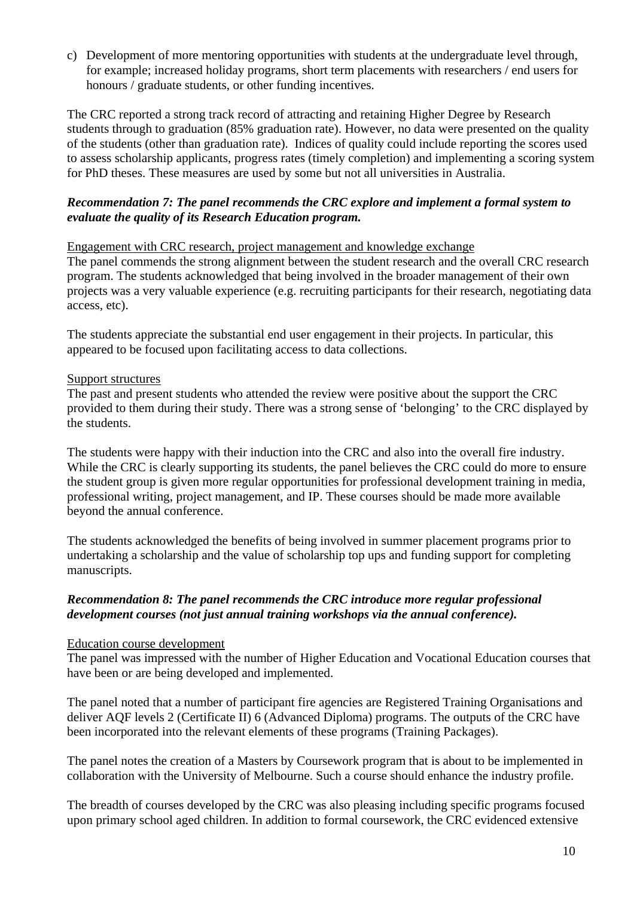c) Development of more mentoring opportunities with students at the undergraduate level through, for example; increased holiday programs, short term placements with researchers / end users for honours / graduate students, or other funding incentives.

The CRC reported a strong track record of attracting and retaining Higher Degree by Research students through to graduation (85% graduation rate). However, no data were presented on the quality of the students (other than graduation rate). Indices of quality could include reporting the scores used to assess scholarship applicants, progress rates (timely completion) and implementing a scoring system for PhD theses. These measures are used by some but not all universities in Australia.

#### *Recommendation 7: The panel recommends the CRC explore and implement a formal system to evaluate the quality of its Research Education program.*

#### Engagement with CRC research, project management and knowledge exchange

The panel commends the strong alignment between the student research and the overall CRC research program. The students acknowledged that being involved in the broader management of their own projects was a very valuable experience (e.g. recruiting participants for their research, negotiating data access, etc).

The students appreciate the substantial end user engagement in their projects. In particular, this appeared to be focused upon facilitating access to data collections.

#### Support structures

The past and present students who attended the review were positive about the support the CRC provided to them during their study. There was a strong sense of 'belonging' to the CRC displayed by the students.

The students were happy with their induction into the CRC and also into the overall fire industry. While the CRC is clearly supporting its students, the panel believes the CRC could do more to ensure the student group is given more regular opportunities for professional development training in media, professional writing, project management, and IP. These courses should be made more available beyond the annual conference.

The students acknowledged the benefits of being involved in summer placement programs prior to undertaking a scholarship and the value of scholarship top ups and funding support for completing manuscripts.

#### *Recommendation 8: The panel recommends the CRC introduce more regular professional development courses (not just annual training workshops via the annual conference).*

#### Education course development

The panel was impressed with the number of Higher Education and Vocational Education courses that have been or are being developed and implemented.

The panel noted that a number of participant fire agencies are Registered Training Organisations and deliver AQF levels 2 (Certificate II) 6 (Advanced Diploma) programs. The outputs of the CRC have been incorporated into the relevant elements of these programs (Training Packages).

The panel notes the creation of a Masters by Coursework program that is about to be implemented in collaboration with the University of Melbourne. Such a course should enhance the industry profile.

The breadth of courses developed by the CRC was also pleasing including specific programs focused upon primary school aged children. In addition to formal coursework, the CRC evidenced extensive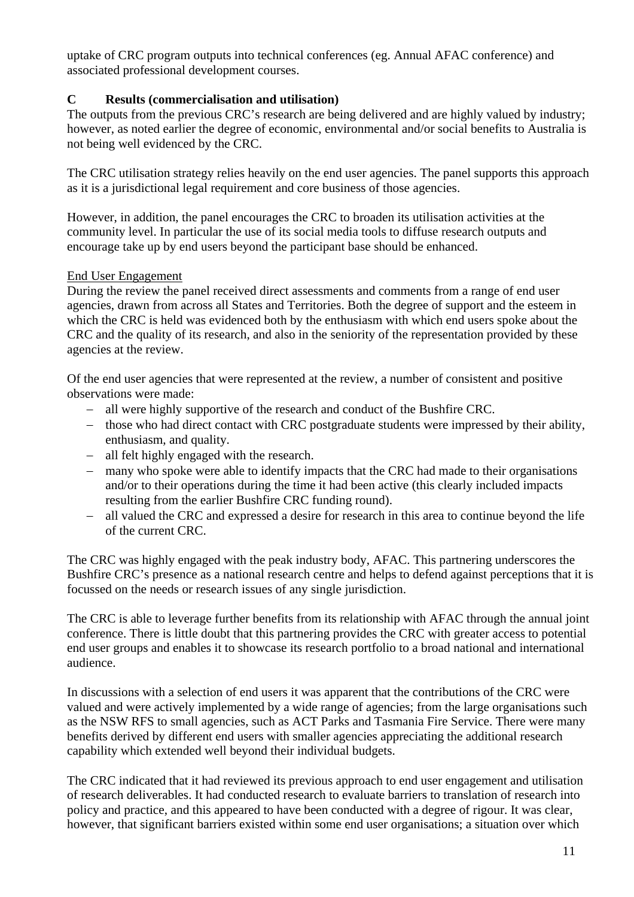uptake of CRC program outputs into technical conferences (eg. Annual AFAC conference) and associated professional development courses.

## **C Results (commercialisation and utilisation)**

The outputs from the previous CRC's research are being delivered and are highly valued by industry; however, as noted earlier the degree of economic, environmental and/or social benefits to Australia is not being well evidenced by the CRC.

The CRC utilisation strategy relies heavily on the end user agencies. The panel supports this approach as it is a jurisdictional legal requirement and core business of those agencies.

However, in addition, the panel encourages the CRC to broaden its utilisation activities at the community level. In particular the use of its social media tools to diffuse research outputs and encourage take up by end users beyond the participant base should be enhanced.

#### End User Engagement

During the review the panel received direct assessments and comments from a range of end user agencies, drawn from across all States and Territories. Both the degree of support and the esteem in which the CRC is held was evidenced both by the enthusiasm with which end users spoke about the CRC and the quality of its research, and also in the seniority of the representation provided by these agencies at the review.

Of the end user agencies that were represented at the review, a number of consistent and positive observations were made:

- − all were highly supportive of the research and conduct of the Bushfire CRC.
- − those who had direct contact with CRC postgraduate students were impressed by their ability, enthusiasm, and quality.
- − all felt highly engaged with the research.
- − many who spoke were able to identify impacts that the CRC had made to their organisations and/or to their operations during the time it had been active (this clearly included impacts resulting from the earlier Bushfire CRC funding round).
- − all valued the CRC and expressed a desire for research in this area to continue beyond the life of the current CRC.

The CRC was highly engaged with the peak industry body, AFAC. This partnering underscores the Bushfire CRC's presence as a national research centre and helps to defend against perceptions that it is focussed on the needs or research issues of any single jurisdiction.

The CRC is able to leverage further benefits from its relationship with AFAC through the annual joint conference. There is little doubt that this partnering provides the CRC with greater access to potential end user groups and enables it to showcase its research portfolio to a broad national and international audience.

In discussions with a selection of end users it was apparent that the contributions of the CRC were valued and were actively implemented by a wide range of agencies; from the large organisations such as the NSW RFS to small agencies, such as ACT Parks and Tasmania Fire Service. There were many benefits derived by different end users with smaller agencies appreciating the additional research capability which extended well beyond their individual budgets.

The CRC indicated that it had reviewed its previous approach to end user engagement and utilisation of research deliverables. It had conducted research to evaluate barriers to translation of research into policy and practice, and this appeared to have been conducted with a degree of rigour. It was clear, however, that significant barriers existed within some end user organisations; a situation over which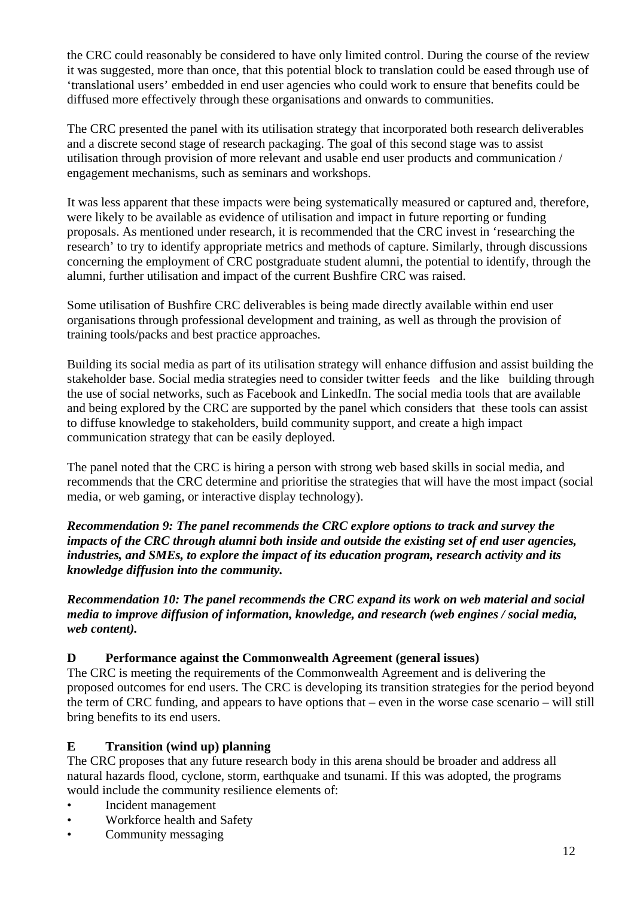the CRC could reasonably be considered to have only limited control. During the course of the review it was suggested, more than once, that this potential block to translation could be eased through use of 'translational users' embedded in end user agencies who could work to ensure that benefits could be diffused more effectively through these organisations and onwards to communities.

The CRC presented the panel with its utilisation strategy that incorporated both research deliverables and a discrete second stage of research packaging. The goal of this second stage was to assist utilisation through provision of more relevant and usable end user products and communication / engagement mechanisms, such as seminars and workshops.

It was less apparent that these impacts were being systematically measured or captured and, therefore, were likely to be available as evidence of utilisation and impact in future reporting or funding proposals. As mentioned under research, it is recommended that the CRC invest in 'researching the research' to try to identify appropriate metrics and methods of capture. Similarly, through discussions concerning the employment of CRC postgraduate student alumni, the potential to identify, through the alumni, further utilisation and impact of the current Bushfire CRC was raised.

Some utilisation of Bushfire CRC deliverables is being made directly available within end user organisations through professional development and training, as well as through the provision of training tools/packs and best practice approaches.

Building its social media as part of its utilisation strategy will enhance diffusion and assist building the stakeholder base. Social media strategies need to consider twitter feeds and the like building through the use of social networks, such as Facebook and LinkedIn. The social media tools that are available and being explored by the CRC are supported by the panel which considers that these tools can assist to diffuse knowledge to stakeholders, build community support, and create a high impact communication strategy that can be easily deployed.

The panel noted that the CRC is hiring a person with strong web based skills in social media, and recommends that the CRC determine and prioritise the strategies that will have the most impact (social media, or web gaming, or interactive display technology).

*Recommendation 9: The panel recommends the CRC explore options to track and survey the impacts of the CRC through alumni both inside and outside the existing set of end user agencies, industries, and SMEs, to explore the impact of its education program, research activity and its knowledge diffusion into the community.* 

*Recommendation 10: The panel recommends the CRC expand its work on web material and social media to improve diffusion of information, knowledge, and research (web engines / social media, web content).* 

#### **D Performance against the Commonwealth Agreement (general issues)**

The CRC is meeting the requirements of the Commonwealth Agreement and is delivering the proposed outcomes for end users. The CRC is developing its transition strategies for the period beyond the term of CRC funding, and appears to have options that – even in the worse case scenario – will still bring benefits to its end users.

#### **E Transition (wind up) planning**

The CRC proposes that any future research body in this arena should be broader and address all natural hazards flood, cyclone, storm, earthquake and tsunami. If this was adopted, the programs would include the community resilience elements of:

- Incident management
- Workforce health and Safety
- Community messaging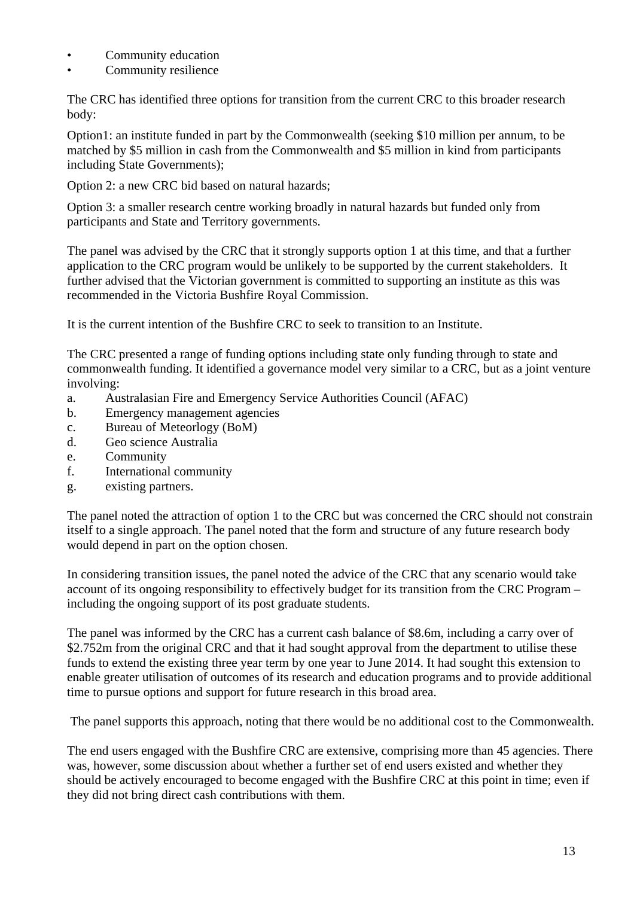- Community education
- Community resilience

The CRC has identified three options for transition from the current CRC to this broader research body:

Option1: an institute funded in part by the Commonwealth (seeking \$10 million per annum, to be matched by \$5 million in cash from the Commonwealth and \$5 million in kind from participants including State Governments);

Option 2: a new CRC bid based on natural hazards;

Option 3: a smaller research centre working broadly in natural hazards but funded only from participants and State and Territory governments.

The panel was advised by the CRC that it strongly supports option 1 at this time, and that a further application to the CRC program would be unlikely to be supported by the current stakeholders. It further advised that the Victorian government is committed to supporting an institute as this was recommended in the Victoria Bushfire Royal Commission.

It is the current intention of the Bushfire CRC to seek to transition to an Institute.

The CRC presented a range of funding options including state only funding through to state and commonwealth funding. It identified a governance model very similar to a CRC, but as a joint venture involving:

- a. Australasian Fire and Emergency Service Authorities Council (AFAC)
- b. Emergency management agencies
- c. Bureau of Meteorlogy (BoM)
- d. Geo science Australia
- e. Community
- f. International community
- g. existing partners.

The panel noted the attraction of option 1 to the CRC but was concerned the CRC should not constrain itself to a single approach. The panel noted that the form and structure of any future research body would depend in part on the option chosen.

In considering transition issues, the panel noted the advice of the CRC that any scenario would take account of its ongoing responsibility to effectively budget for its transition from the CRC Program – including the ongoing support of its post graduate students.

The panel was informed by the CRC has a current cash balance of \$8.6m, including a carry over of \$2.752m from the original CRC and that it had sought approval from the department to utilise these funds to extend the existing three year term by one year to June 2014. It had sought this extension to enable greater utilisation of outcomes of its research and education programs and to provide additional time to pursue options and support for future research in this broad area.

The panel supports this approach, noting that there would be no additional cost to the Commonwealth.

The end users engaged with the Bushfire CRC are extensive, comprising more than 45 agencies. There was, however, some discussion about whether a further set of end users existed and whether they should be actively encouraged to become engaged with the Bushfire CRC at this point in time; even if they did not bring direct cash contributions with them.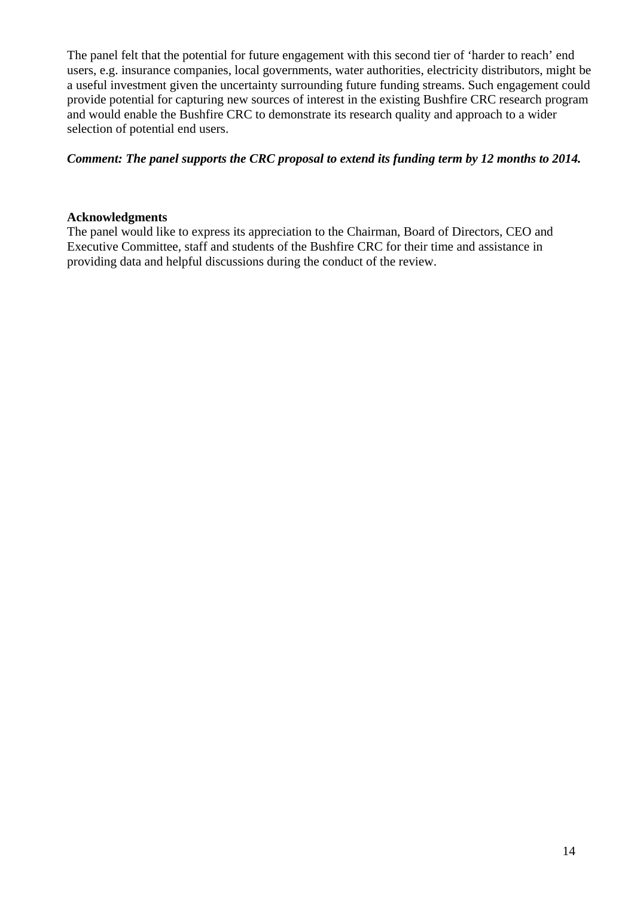The panel felt that the potential for future engagement with this second tier of 'harder to reach' end users, e.g. insurance companies, local governments, water authorities, electricity distributors, might be a useful investment given the uncertainty surrounding future funding streams. Such engagement could provide potential for capturing new sources of interest in the existing Bushfire CRC research program and would enable the Bushfire CRC to demonstrate its research quality and approach to a wider selection of potential end users.

#### *Comment: The panel supports the CRC proposal to extend its funding term by 12 months to 2014.*

#### **Acknowledgments**

The panel would like to express its appreciation to the Chairman, Board of Directors, CEO and Executive Committee, staff and students of the Bushfire CRC for their time and assistance in providing data and helpful discussions during the conduct of the review.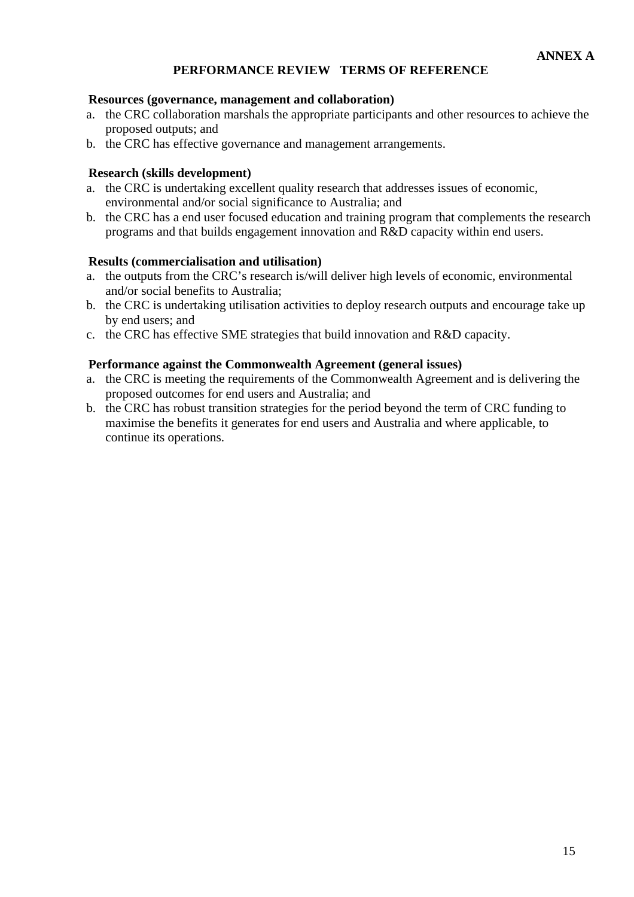## **PERFORMANCE REVIEW TERMS OF REFERENCE**

#### **Resources (governance, management and collaboration)**

- a. the CRC collaboration marshals the appropriate participants and other resources to achieve the proposed outputs; and
- b. the CRC has effective governance and management arrangements.

#### **Research (skills development)**

- a. the CRC is undertaking excellent quality research that addresses issues of economic, environmental and/or social significance to Australia; and
- b. the CRC has a end user focused education and training program that complements the research programs and that builds engagement innovation and R&D capacity within end users.

#### **Results (commercialisation and utilisation)**

- a. the outputs from the CRC's research is/will deliver high levels of economic, environmental and/or social benefits to Australia;
- b. the CRC is undertaking utilisation activities to deploy research outputs and encourage take up by end users; and
- c. the CRC has effective SME strategies that build innovation and R&D capacity.

#### **Performance against the Commonwealth Agreement (general issues)**

- a. the CRC is meeting the requirements of the Commonwealth Agreement and is delivering the proposed outcomes for end users and Australia; and
- b. the CRC has robust transition strategies for the period beyond the term of CRC funding to maximise the benefits it generates for end users and Australia and where applicable, to continue its operations.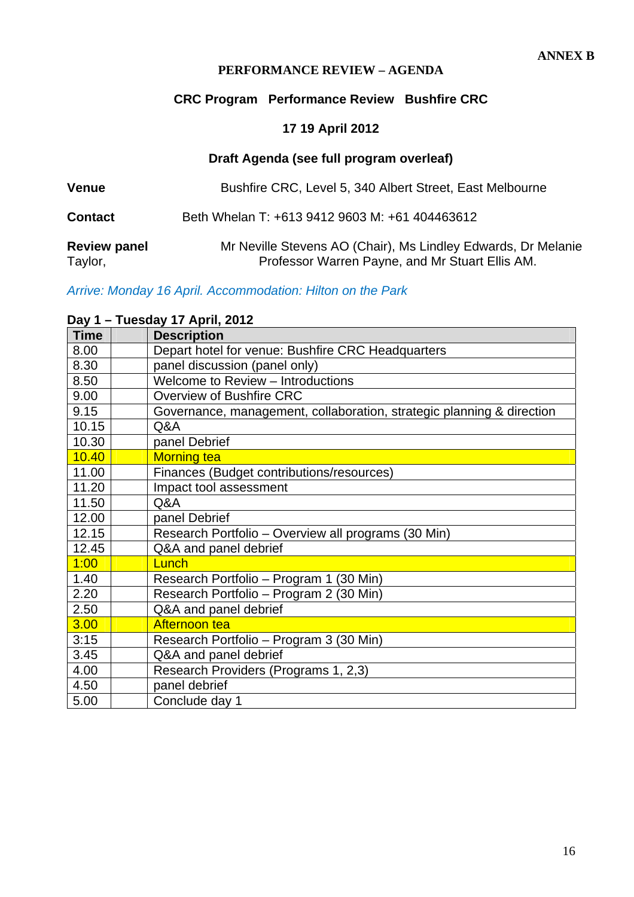#### **PERFORMANCE REVIEW – AGENDA**

## **CRC Program Performance Review Bushfire CRC**

# **17 19 April 2012**

## **Draft Agenda (see full program overleaf)**

| <b>Venue</b>                   | Bushfire CRC, Level 5, 340 Albert Street, East Melbourne                                                         |
|--------------------------------|------------------------------------------------------------------------------------------------------------------|
| <b>Contact</b>                 | Beth Whelan T: +613 9412 9603 M: +61 404463612                                                                   |
| <b>Review panel</b><br>Taylor, | Mr Neville Stevens AO (Chair), Ms Lindley Edwards, Dr Melanie<br>Professor Warren Payne, and Mr Stuart Ellis AM. |

*Arrive: Monday 16 April. Accommodation: Hilton on the Park* 

# **Day 1 – Tuesday 17 April, 2012**

| <b>Time</b> | <b>Description</b>                                                    |
|-------------|-----------------------------------------------------------------------|
| 8.00        | Depart hotel for venue: Bushfire CRC Headquarters                     |
| 8.30        | panel discussion (panel only)                                         |
| 8.50        | Welcome to Review - Introductions                                     |
| 9.00        | Overview of Bushfire CRC                                              |
| 9.15        | Governance, management, collaboration, strategic planning & direction |
| 10.15       | Q&A                                                                   |
| 10.30       | panel Debrief                                                         |
| 10.40       | <b>Morning tea</b>                                                    |
| 11.00       | Finances (Budget contributions/resources)                             |
| 11.20       | Impact tool assessment                                                |
| 11.50       | Q&A                                                                   |
| 12.00       | panel Debrief                                                         |
| 12.15       | Research Portfolio - Overview all programs (30 Min)                   |
| 12.45       | Q&A and panel debrief                                                 |
| 1:00        | Lunch                                                                 |
| 1.40        | Research Portfolio – Program 1 (30 Min)                               |
| 2.20        | Research Portfolio - Program 2 (30 Min)                               |
| 2.50        | Q&A and panel debrief                                                 |
| 3.00        | Afternoon tea                                                         |
| 3:15        | Research Portfolio – Program 3 (30 Min)                               |
| 3.45        | Q&A and panel debrief                                                 |
| 4.00        | Research Providers (Programs 1, 2,3)                                  |
| 4.50        | panel debrief                                                         |
| 5.00        | Conclude day 1                                                        |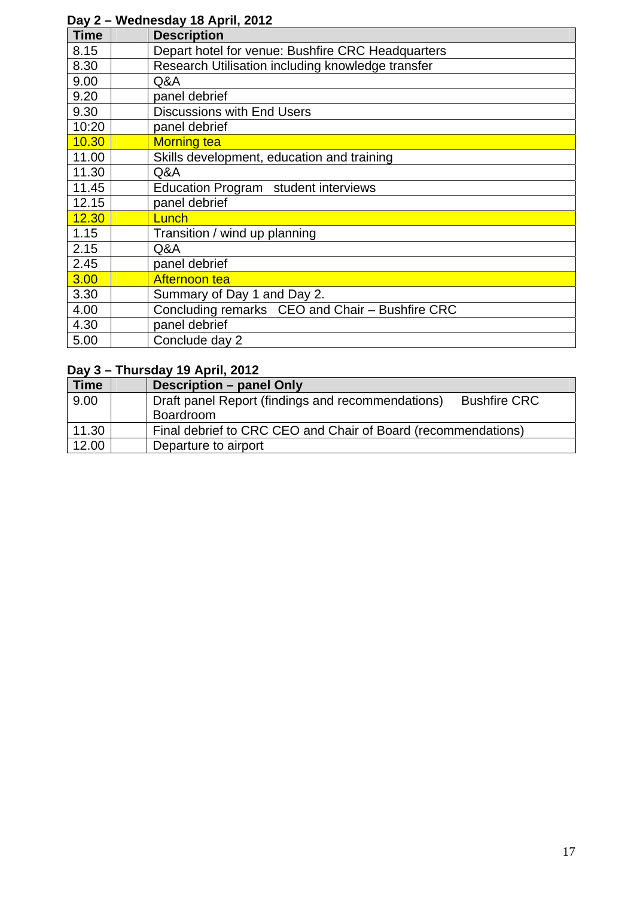| -u y -      | $1.001100000$ $10.00111$ , $2012$                 |
|-------------|---------------------------------------------------|
| <b>Time</b> | <b>Description</b>                                |
| 8.15        | Depart hotel for venue: Bushfire CRC Headquarters |
| 8.30        | Research Utilisation including knowledge transfer |
| 9.00        | Q&A                                               |
| 9.20        | panel debrief                                     |
| 9.30        | <b>Discussions with End Users</b>                 |
| 10:20       | panel debrief                                     |
| 10.30       | <b>Morning tea</b>                                |
| 11.00       | Skills development, education and training        |
| 11.30       | Q&A                                               |
| 11.45       | Education Program student interviews              |
| 12.15       | panel debrief                                     |
| 12.30       | Lunch                                             |
| 1.15        | Transition / wind up planning                     |
| 2.15        | Q&A                                               |
| 2.45        | panel debrief                                     |
| 3.00        | Afternoon tea                                     |
| 3.30        | Summary of Day 1 and Day 2.                       |
| 4.00        | Concluding remarks CEO and Chair - Bushfire CRC   |
| 4.30        | panel debrief                                     |
| 5.00        | Conclude day 2                                    |

# **Day 2 – Wednesday 18 April, 2012**

# **Day 3 – Thursday 19 April, 2012**

| <b>Time</b> | Description - panel Only                                                 |
|-------------|--------------------------------------------------------------------------|
| 9.00        | Draft panel Report (findings and recommendations)<br><b>Bushfire CRC</b> |
|             | Boardroom                                                                |
| 11.30       | Final debrief to CRC CEO and Chair of Board (recommendations)            |
| 12.00       | Departure to airport                                                     |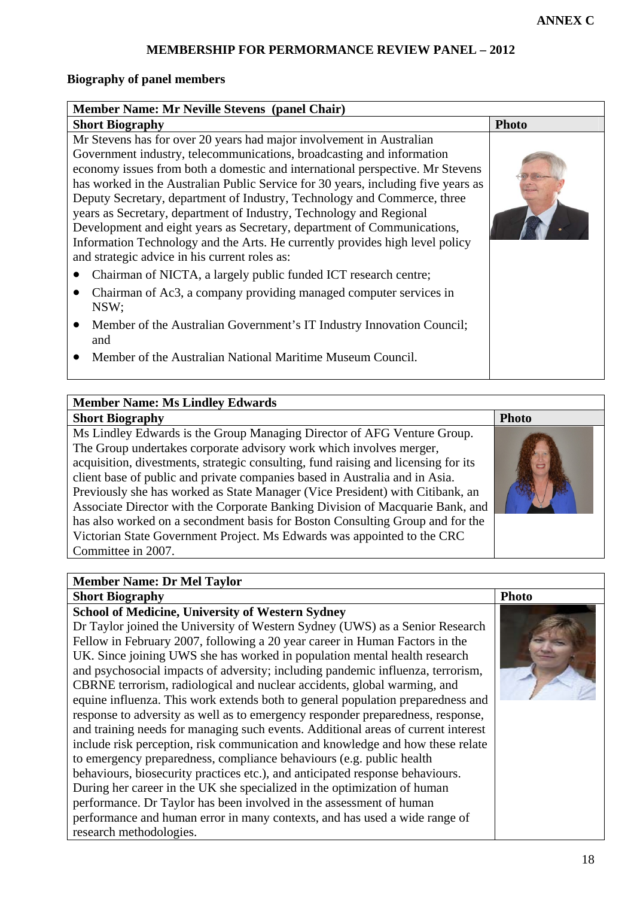## **MEMBERSHIP FOR PERMORMANCE REVIEW PANEL – 2012**

#### **Biography of panel members**

| <b>Member Name: Mr Neville Stevens (panel Chair)</b>                                                                                                                                                                                                                                                                                                                                                                                                                                                                                                                                                                                                                               |              |
|------------------------------------------------------------------------------------------------------------------------------------------------------------------------------------------------------------------------------------------------------------------------------------------------------------------------------------------------------------------------------------------------------------------------------------------------------------------------------------------------------------------------------------------------------------------------------------------------------------------------------------------------------------------------------------|--------------|
| <b>Short Biography</b>                                                                                                                                                                                                                                                                                                                                                                                                                                                                                                                                                                                                                                                             | <b>Photo</b> |
| Mr Stevens has for over 20 years had major involvement in Australian<br>Government industry, telecommunications, broadcasting and information<br>economy issues from both a domestic and international perspective. Mr Stevens<br>has worked in the Australian Public Service for 30 years, including five years as<br>Deputy Secretary, department of Industry, Technology and Commerce, three<br>years as Secretary, department of Industry, Technology and Regional<br>Development and eight years as Secretary, department of Communications,<br>Information Technology and the Arts. He currently provides high level policy<br>and strategic advice in his current roles as: |              |
| Chairman of NICTA, a largely public funded ICT research centre;                                                                                                                                                                                                                                                                                                                                                                                                                                                                                                                                                                                                                    |              |
| Chairman of Ac3, a company providing managed computer services in<br>NSW;                                                                                                                                                                                                                                                                                                                                                                                                                                                                                                                                                                                                          |              |
| Member of the Australian Government's IT Industry Innovation Council;<br>and                                                                                                                                                                                                                                                                                                                                                                                                                                                                                                                                                                                                       |              |
| Member of the Australian National Maritime Museum Council.                                                                                                                                                                                                                                                                                                                                                                                                                                                                                                                                                                                                                         |              |

## **Member Name: Ms Lindley Edwards**

## **Short Biography** Photo

Ms Lindley Edwards is the Group Managing Director of AFG Venture Group. The Group undertakes corporate advisory work which involves merger, acquisition, divestments, strategic consulting, fund raising and licensing for its client base of public and private companies based in Australia and in Asia. Previously she has worked as State Manager (Vice President) with Citibank, an Associate Director with the Corporate Banking Division of Macquarie Bank, and has also worked on a secondment basis for Boston Consulting Group and for the Victorian State Government Project. Ms Edwards was appointed to the CRC Committee in 2007.

#### **Member Name: Dr Mel Taylor**

| Member Name: Dr Mel Taylor                                                        |              |
|-----------------------------------------------------------------------------------|--------------|
| <b>Short Biography</b>                                                            | <b>Photo</b> |
| <b>School of Medicine, University of Western Sydney</b>                           |              |
| Dr Taylor joined the University of Western Sydney (UWS) as a Senior Research      |              |
| Fellow in February 2007, following a 20 year career in Human Factors in the       |              |
| UK. Since joining UWS she has worked in population mental health research         |              |
| and psychosocial impacts of adversity; including pandemic influenza, terrorism,   |              |
| CBRNE terrorism, radiological and nuclear accidents, global warming, and          |              |
| equine influenza. This work extends both to general population preparedness and   |              |
| response to adversity as well as to emergency responder preparedness, response,   |              |
| and training needs for managing such events. Additional areas of current interest |              |
| include risk perception, risk communication and knowledge and how these relate    |              |
| to emergency preparedness, compliance behaviours (e.g. public health              |              |
| behaviours, biosecurity practices etc.), and anticipated response behaviours.     |              |
| During her career in the UK she specialized in the optimization of human          |              |
| performance. Dr Taylor has been involved in the assessment of human               |              |
| performance and human error in many contexts, and has used a wide range of        |              |
| research methodologies.                                                           |              |
|                                                                                   |              |